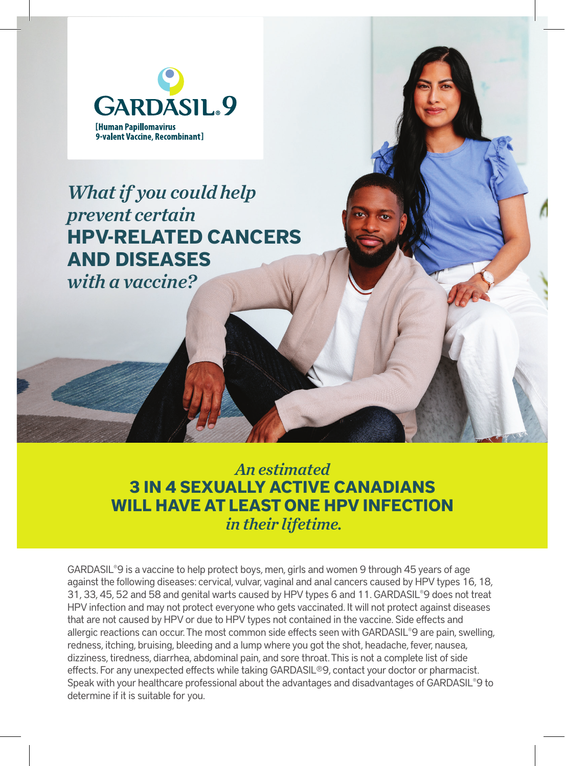

## *What if  you could help prevent certain*  **HPV-RELATED CANCERS AND DISEASES**

*with a vaccine?*

*An estimated* **3 IN 4 SEXUALLY ACTIVE CANADIANS WILL HAVE AT LEAST ONE HPV INFECTION** *in their lifetime.*

GARDASIL®9 is a vaccine to help protect boys, men, girls and women 9 through 45 years of age against the following diseases: cervical, vulvar, vaginal and anal cancers caused by HPV types 16, 18, 31, 33, 45, 52 and 58 and genital warts caused by HPV types 6 and 11. GARDASIL®9 does not treat HPV infection and may not protect everyone who gets vaccinated. It will not protect against diseases that are not caused by HPV or due to HPV types not contained in the vaccine. Side effects and allergic reactions can occur. The most common side effects seen with GARDASIL®9 are pain, swelling, redness, itching, bruising, bleeding and a lump where you got the shot, headache, fever, nausea, dizziness, tiredness, diarrhea, abdominal pain, and sore throat. This is not a complete list of side effects. For any unexpected effects while taking GARDASIL®9, contact your doctor or pharmacist. Speak with your healthcare professional about the advantages and disadvantages of GARDASIL®9 to determine if it is suitable for you.